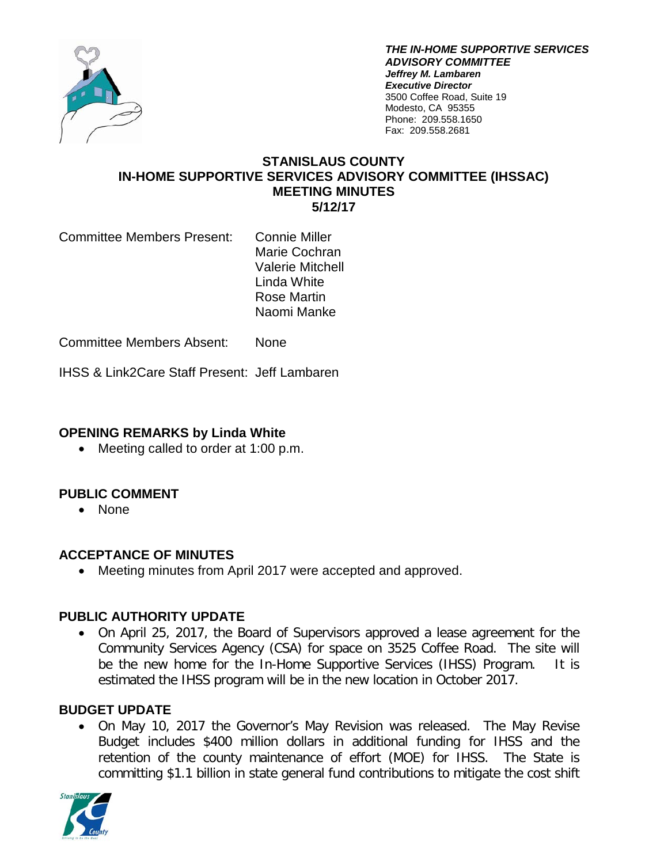

*THE IN-HOME SUPPORTIVE SERVICES ADVISORY COMMITTEE Jeffrey M. Lambaren Executive Director* 3500 Coffee Road, Suite 19 Modesto, CA 95355 Phone: 209.558.1650 Fax: 209.558.2681

#### **STANISLAUS COUNTY IN-HOME SUPPORTIVE SERVICES ADVISORY COMMITTEE (IHSSAC) MEETING MINUTES 5/12/17**

Committee Members Present: Connie Miller

Marie Cochran Valerie Mitchell Linda White Rose Martin Naomi Manke

Committee Members Absent: None

IHSS & Link2Care Staff Present: Jeff Lambaren

#### **OPENING REMARKS by Linda White**

• Meeting called to order at 1:00 p.m.

# **PUBLIC COMMENT**

• None

# **ACCEPTANCE OF MINUTES**

• Meeting minutes from April 2017 were accepted and approved.

# **PUBLIC AUTHORITY UPDATE**

• On April 25, 2017, the Board of Supervisors approved a lease agreement for the Community Services Agency (CSA) for space on 3525 Coffee Road. The site will be the new home for the In-Home Supportive Services (IHSS) Program. It is estimated the IHSS program will be in the new location in October 2017.

# **BUDGET UPDATE**

• On May 10, 2017 the Governor's May Revision was released. The May Revise Budget includes \$400 million dollars in additional funding for IHSS and the retention of the county maintenance of effort (MOE) for IHSS. The State is committing \$1.1 billion in state general fund contributions to mitigate the cost shift

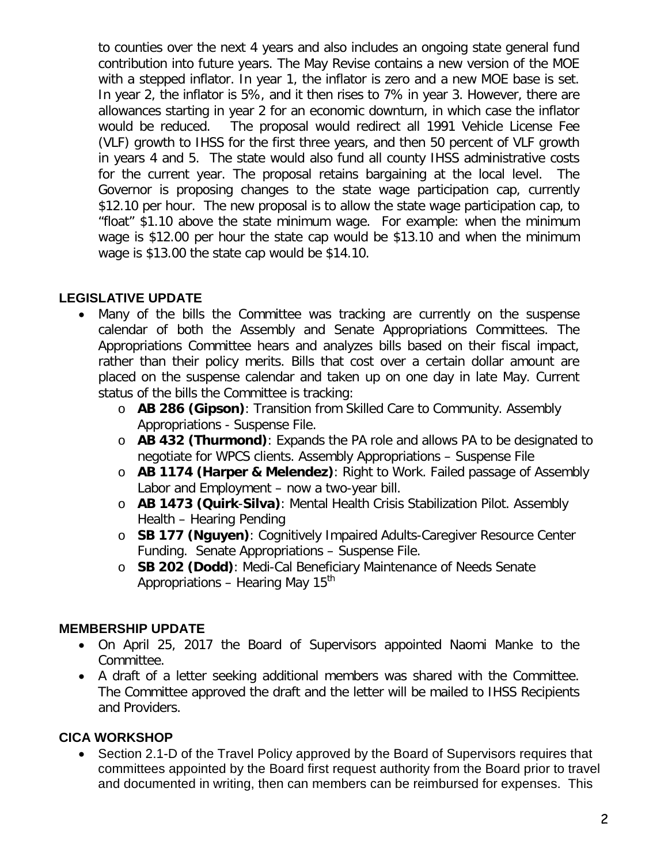to counties over the next 4 years and also includes an ongoing state general fund contribution into future years. The May Revise contains a new version of the MOE with a stepped inflator. In year 1, the inflator is zero and a new MOE base is set. In year 2, the inflator is 5%, and it then rises to 7% in year 3. However, there are allowances starting in year 2 for an economic downturn, in which case the inflator would be reduced. The proposal would redirect all 1991 Vehicle License Fee (VLF) growth to IHSS for the first three years, and then 50 percent of VLF growth in years 4 and 5. The state would also fund all county IHSS administrative costs for the current year. The proposal retains bargaining at the local level. The Governor is proposing changes to the state wage participation cap, currently \$12.10 per hour. The new proposal is to allow the state wage participation cap, to "float" \$1.10 above the state minimum wage. For example: when the minimum wage is \$12.00 per hour the state cap would be \$13.10 and when the minimum wage is \$13.00 the state cap would be \$14.10.

# **LEGISLATIVE UPDATE**

- Many of the bills the Committee was tracking are currently on the suspense calendar of both the Assembly and Senate Appropriations Committees. The Appropriations Committee hears and analyzes bills based on their fiscal impact, rather than their policy merits. Bills that cost over a certain dollar amount are placed on the suspense calendar and taken up on one day in late May. Current status of the bills the Committee is tracking:
	- o **AB 286 (Gipson)**: Transition from Skilled Care to Community. Assembly Appropriations - Suspense File.
	- o **AB 432 (Thurmond)**: Expands the PA role and allows PA to be designated to negotiate for WPCS clients. Assembly Appropriations – Suspense File
	- o **AB 1174 (Harper & Melendez)**: Right to Work. Failed passage of Assembly Labor and Employment – now a two-year bill.
	- o **AB 1473 (Quirk**-**Silva)**: Mental Health Crisis Stabilization Pilot. Assembly Health – Hearing Pending
	- o **SB 177 (Nguyen)**: Cognitively Impaired Adults-Caregiver Resource Center Funding. Senate Appropriations – Suspense File.
	- o **SB 202 (Dodd)**: Medi-Cal Beneficiary Maintenance of Needs Senate Appropriations – Hearing May  $15<sup>th</sup>$

# **MEMBERSHIP UPDATE**

- On April 25, 2017 the Board of Supervisors appointed Naomi Manke to the Committee.
- A draft of a letter seeking additional members was shared with the Committee. The Committee approved the draft and the letter will be mailed to IHSS Recipients and Providers.

# **CICA WORKSHOP**

• Section 2.1-D of the Travel Policy approved by the Board of Supervisors requires that committees appointed by the Board first request authority from the Board prior to travel and documented in writing, then can members can be reimbursed for expenses. This